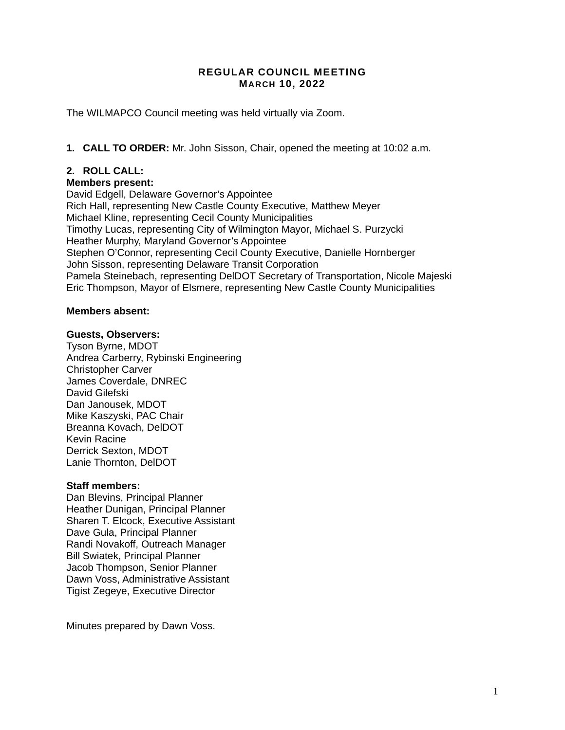#### **REGULAR COUNCIL MEETING MARCH 10, 2022**

The WILMAPCO Council meeting was held virtually via Zoom.

**1. CALL TO ORDER:** Mr. John Sisson, Chair, opened the meeting at 10:02 a.m.

# **2. ROLL CALL:**

#### **Members present:**

David Edgell, Delaware Governor's Appointee Rich Hall, representing New Castle County Executive, Matthew Meyer Michael Kline, representing Cecil County Municipalities Timothy Lucas, representing City of Wilmington Mayor, Michael S. Purzycki Heather Murphy, Maryland Governor's Appointee Stephen O'Connor, representing Cecil County Executive, Danielle Hornberger John Sisson, representing Delaware Transit Corporation Pamela Steinebach, representing DelDOT Secretary of Transportation, Nicole Majeski Eric Thompson, Mayor of Elsmere, representing New Castle County Municipalities

#### **Members absent:**

#### **Guests, Observers:**

Tyson Byrne, MDOT Andrea Carberry, Rybinski Engineering Christopher Carver James Coverdale, DNREC David Gilefski Dan Janousek, MDOT Mike Kaszyski, PAC Chair Breanna Kovach, DelDOT Kevin Racine Derrick Sexton, MDOT Lanie Thornton, DelDOT

#### **Staff members:**

Dan Blevins, Principal Planner Heather Dunigan, Principal Planner Sharen T. Elcock, Executive Assistant Dave Gula, Principal Planner Randi Novakoff, Outreach Manager Bill Swiatek, Principal Planner Jacob Thompson, Senior Planner Dawn Voss, Administrative Assistant Tigist Zegeye, Executive Director

Minutes prepared by Dawn Voss.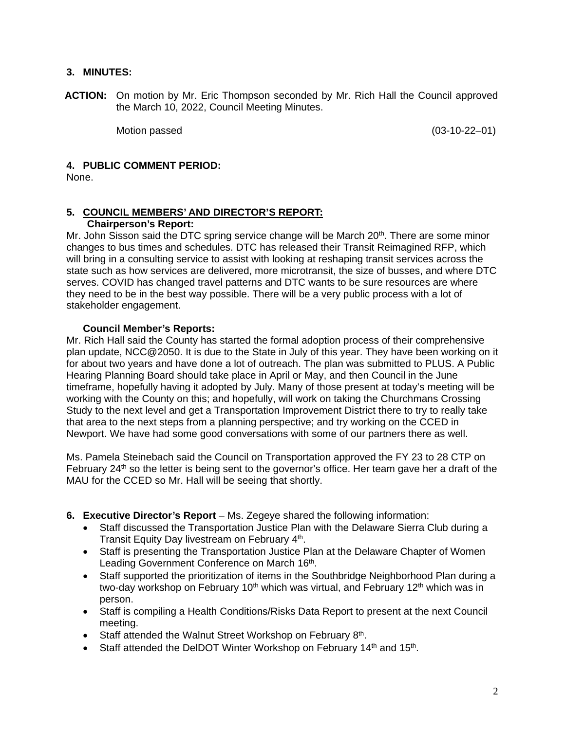## **3. MINUTES:**

**ACTION:** On motion by Mr. Eric Thompson seconded by Mr. Rich Hall the Council approved the March 10, 2022, Council Meeting Minutes.

Motion passed  $(03-10-22-01)$ 

## **4. PUBLIC COMMENT PERIOD:**

None.

# **5. COUNCIL MEMBERS' AND DIRECTOR'S REPORT:**

# **Chairperson's Report:**

Mr. John Sisson said the DTC spring service change will be March  $20<sup>th</sup>$ . There are some minor changes to bus times and schedules. DTC has released their Transit Reimagined RFP, which will bring in a consulting service to assist with looking at reshaping transit services across the state such as how services are delivered, more microtransit, the size of busses, and where DTC serves. COVID has changed travel patterns and DTC wants to be sure resources are where they need to be in the best way possible. There will be a very public process with a lot of stakeholder engagement.

## **Council Member's Reports:**

Mr. Rich Hall said the County has started the formal adoption process of their comprehensive plan update, NCC@2050. It is due to the State in July of this year. They have been working on it for about two years and have done a lot of outreach. The plan was submitted to PLUS. A Public Hearing Planning Board should take place in April or May, and then Council in the June timeframe, hopefully having it adopted by July. Many of those present at today's meeting will be working with the County on this; and hopefully, will work on taking the Churchmans Crossing Study to the next level and get a Transportation Improvement District there to try to really take that area to the next steps from a planning perspective; and try working on the CCED in Newport. We have had some good conversations with some of our partners there as well.

Ms. Pamela Steinebach said the Council on Transportation approved the FY 23 to 28 CTP on February  $24<sup>th</sup>$  so the letter is being sent to the governor's office. Her team gave her a draft of the MAU for the CCED so Mr. Hall will be seeing that shortly.

- **6. Executive Director's Report** Ms. Zegeye shared the following information:
	- Staff discussed the Transportation Justice Plan with the Delaware Sierra Club during a Transit Equity Day livestream on February 4th.
	- Staff is presenting the Transportation Justice Plan at the Delaware Chapter of Women Leading Government Conference on March 16th.
	- Staff supported the prioritization of items in the Southbridge Neighborhood Plan during a two-day workshop on February 10<sup>th</sup> which was virtual, and February 12<sup>th</sup> which was in person.
	- Staff is compiling a Health Conditions/Risks Data Report to present at the next Council meeting.
	- $\bullet$  Staff attended the Walnut Street Workshop on February 8<sup>th</sup>.
	- Staff attended the DeIDOT Winter Workshop on February 14<sup>th</sup> and 15<sup>th</sup>.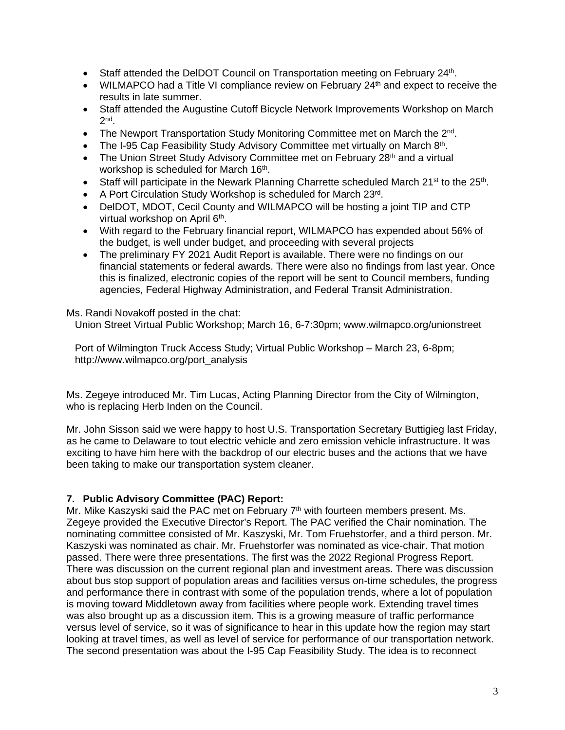- Staff attended the DelDOT Council on Transportation meeting on February 24<sup>th</sup>.
- $\bullet$  WILMAPCO had a Title VI compliance review on February 24<sup>th</sup> and expect to receive the results in late summer.
- Staff attended the Augustine Cutoff Bicycle Network Improvements Workshop on March 2nd.
- The Newport Transportation Study Monitoring Committee met on March the  $2^{nd}$ .
- The I-95 Cap Feasibility Study Advisory Committee met virtually on March  $8<sup>th</sup>$ .
- The Union Street Study Advisory Committee met on February 28<sup>th</sup> and a virtual workshop is scheduled for March 16<sup>th</sup>.
- Staff will participate in the Newark Planning Charrette scheduled March 21<sup>st</sup> to the 25<sup>th</sup>.
- A Port Circulation Study Workshop is scheduled for March 23rd.
- DelDOT, MDOT, Cecil County and WILMAPCO will be hosting a joint TIP and CTP virtual workshop on April 6<sup>th</sup>.
- With regard to the February financial report, WILMAPCO has expended about 56% of the budget, is well under budget, and proceeding with several projects
- The preliminary FY 2021 Audit Report is available. There were no findings on our financial statements or federal awards. There were also no findings from last year. Once this is finalized, electronic copies of the report will be sent to Council members, funding agencies, Federal Highway Administration, and Federal Transit Administration.

Ms. Randi Novakoff posted in the chat:

Union Street Virtual Public Workshop; March 16, 6-7:30pm; www.wilmapco.org/unionstreet

 Port of Wilmington Truck Access Study; Virtual Public Workshop – March 23, 6-8pm; http://www.wilmapco.org/port\_analysis

Ms. Zegeye introduced Mr. Tim Lucas, Acting Planning Director from the City of Wilmington, who is replacing Herb Inden on the Council.

Mr. John Sisson said we were happy to host U.S. Transportation Secretary Buttigieg last Friday, as he came to Delaware to tout electric vehicle and zero emission vehicle infrastructure. It was exciting to have him here with the backdrop of our electric buses and the actions that we have been taking to make our transportation system cleaner.

## **7. Public Advisory Committee (PAC) Report:**

Mr. Mike Kaszyski said the PAC met on February  $7<sup>th</sup>$  with fourteen members present. Ms. Zegeye provided the Executive Director's Report. The PAC verified the Chair nomination. The nominating committee consisted of Mr. Kaszyski, Mr. Tom Fruehstorfer, and a third person. Mr. Kaszyski was nominated as chair. Mr. Fruehstorfer was nominated as vice-chair. That motion passed. There were three presentations. The first was the 2022 Regional Progress Report. There was discussion on the current regional plan and investment areas. There was discussion about bus stop support of population areas and facilities versus on-time schedules, the progress and performance there in contrast with some of the population trends, where a lot of population is moving toward Middletown away from facilities where people work. Extending travel times was also brought up as a discussion item. This is a growing measure of traffic performance versus level of service, so it was of significance to hear in this update how the region may start looking at travel times, as well as level of service for performance of our transportation network. The second presentation was about the I-95 Cap Feasibility Study. The idea is to reconnect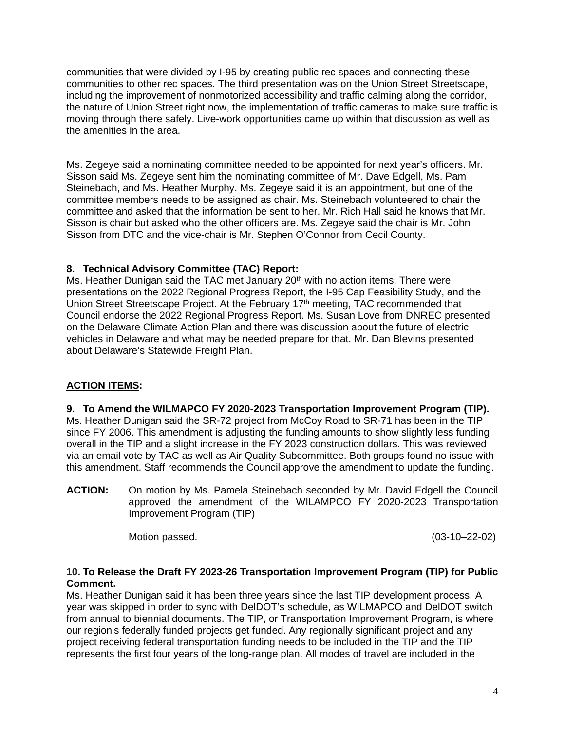communities that were divided by I-95 by creating public rec spaces and connecting these communities to other rec spaces. The third presentation was on the Union Street Streetscape, including the improvement of nonmotorized accessibility and traffic calming along the corridor, the nature of Union Street right now, the implementation of traffic cameras to make sure traffic is moving through there safely. Live-work opportunities came up within that discussion as well as the amenities in the area.

Ms. Zegeye said a nominating committee needed to be appointed for next year's officers. Mr. Sisson said Ms. Zegeye sent him the nominating committee of Mr. Dave Edgell, Ms. Pam Steinebach, and Ms. Heather Murphy. Ms. Zegeye said it is an appointment, but one of the committee members needs to be assigned as chair. Ms. Steinebach volunteered to chair the committee and asked that the information be sent to her. Mr. Rich Hall said he knows that Mr. Sisson is chair but asked who the other officers are. Ms. Zegeye said the chair is Mr. John Sisson from DTC and the vice-chair is Mr. Stephen O'Connor from Cecil County.

# **8. Technical Advisory Committee (TAC) Report:**

Ms. Heather Dunigan said the TAC met January  $20<sup>th</sup>$  with no action items. There were presentations on the 2022 Regional Progress Report, the I-95 Cap Feasibility Study, and the Union Street Streetscape Project. At the February 17<sup>th</sup> meeting, TAC recommended that Council endorse the 2022 Regional Progress Report. Ms. Susan Love from DNREC presented on the Delaware Climate Action Plan and there was discussion about the future of electric vehicles in Delaware and what may be needed prepare for that. Mr. Dan Blevins presented about Delaware's Statewide Freight Plan.

# **ACTION ITEMS:**

**9. To Amend the WILMAPCO FY 2020-2023 Transportation Improvement Program (TIP).**  Ms. Heather Dunigan said the SR-72 project from McCoy Road to SR-71 has been in the TIP since FY 2006. This amendment is adjusting the funding amounts to show slightly less funding overall in the TIP and a slight increase in the FY 2023 construction dollars. This was reviewed via an email vote by TAC as well as Air Quality Subcommittee. Both groups found no issue with this amendment. Staff recommends the Council approve the amendment to update the funding.

**ACTION:** On motion by Ms. Pamela Steinebach seconded by Mr. David Edgell the Council approved the amendment of the WILAMPCO FY 2020-2023 Transportation Improvement Program (TIP)

Motion passed. (03-10–22-02)

## **10. To Release the Draft FY 2023-26 Transportation Improvement Program (TIP) for Public Comment.**

Ms. Heather Dunigan said it has been three years since the last TIP development process. A year was skipped in order to sync with DelDOT's schedule, as WILMAPCO and DelDOT switch from annual to biennial documents. The TIP, or Transportation Improvement Program, is where our region's federally funded projects get funded. Any regionally significant project and any project receiving federal transportation funding needs to be included in the TIP and the TIP represents the first four years of the long-range plan. All modes of travel are included in the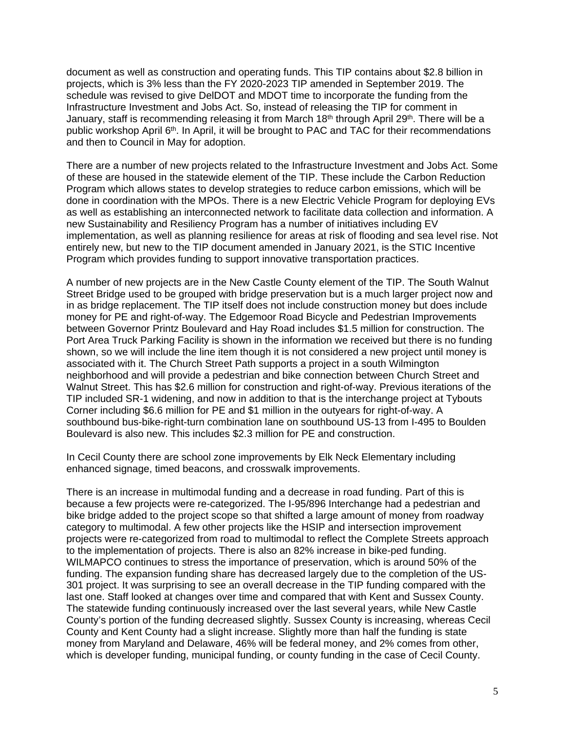document as well as construction and operating funds. This TIP contains about \$2.8 billion in projects, which is 3% less than the FY 2020-2023 TIP amended in September 2019. The schedule was revised to give DelDOT and MDOT time to incorporate the funding from the Infrastructure Investment and Jobs Act. So, instead of releasing the TIP for comment in January, staff is recommending releasing it from March 18<sup>th</sup> through April 29<sup>th</sup>. There will be a public workshop April 6<sup>th</sup>. In April, it will be brought to PAC and TAC for their recommendations and then to Council in May for adoption.

There are a number of new projects related to the Infrastructure Investment and Jobs Act. Some of these are housed in the statewide element of the TIP. These include the Carbon Reduction Program which allows states to develop strategies to reduce carbon emissions, which will be done in coordination with the MPOs. There is a new Electric Vehicle Program for deploying EVs as well as establishing an interconnected network to facilitate data collection and information. A new Sustainability and Resiliency Program has a number of initiatives including EV implementation, as well as planning resilience for areas at risk of flooding and sea level rise. Not entirely new, but new to the TIP document amended in January 2021, is the STIC Incentive Program which provides funding to support innovative transportation practices.

A number of new projects are in the New Castle County element of the TIP. The South Walnut Street Bridge used to be grouped with bridge preservation but is a much larger project now and in as bridge replacement. The TIP itself does not include construction money but does include money for PE and right-of-way. The Edgemoor Road Bicycle and Pedestrian Improvements between Governor Printz Boulevard and Hay Road includes \$1.5 million for construction. The Port Area Truck Parking Facility is shown in the information we received but there is no funding shown, so we will include the line item though it is not considered a new project until money is associated with it. The Church Street Path supports a project in a south Wilmington neighborhood and will provide a pedestrian and bike connection between Church Street and Walnut Street. This has \$2.6 million for construction and right-of-way. Previous iterations of the TIP included SR-1 widening, and now in addition to that is the interchange project at Tybouts Corner including \$6.6 million for PE and \$1 million in the outyears for right-of-way. A southbound bus-bike-right-turn combination lane on southbound US-13 from I-495 to Boulden Boulevard is also new. This includes \$2.3 million for PE and construction.

In Cecil County there are school zone improvements by Elk Neck Elementary including enhanced signage, timed beacons, and crosswalk improvements.

There is an increase in multimodal funding and a decrease in road funding. Part of this is because a few projects were re-categorized. The I-95/896 Interchange had a pedestrian and bike bridge added to the project scope so that shifted a large amount of money from roadway category to multimodal. A few other projects like the HSIP and intersection improvement projects were re-categorized from road to multimodal to reflect the Complete Streets approach to the implementation of projects. There is also an 82% increase in bike-ped funding. WILMAPCO continues to stress the importance of preservation, which is around 50% of the funding. The expansion funding share has decreased largely due to the completion of the US-301 project. It was surprising to see an overall decrease in the TIP funding compared with the last one. Staff looked at changes over time and compared that with Kent and Sussex County. The statewide funding continuously increased over the last several years, while New Castle County's portion of the funding decreased slightly. Sussex County is increasing, whereas Cecil County and Kent County had a slight increase. Slightly more than half the funding is state money from Maryland and Delaware, 46% will be federal money, and 2% comes from other, which is developer funding, municipal funding, or county funding in the case of Cecil County.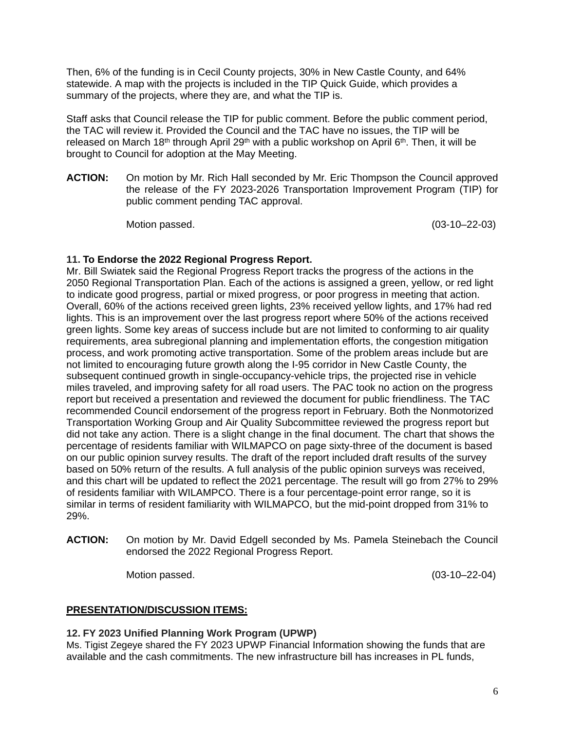Then, 6% of the funding is in Cecil County projects, 30% in New Castle County, and 64% statewide. A map with the projects is included in the TIP Quick Guide, which provides a summary of the projects, where they are, and what the TIP is.

Staff asks that Council release the TIP for public comment. Before the public comment period, the TAC will review it. Provided the Council and the TAC have no issues, the TIP will be released on March 18<sup>th</sup> through April 29<sup>th</sup> with a public workshop on April 6<sup>th</sup>. Then, it will be brought to Council for adoption at the May Meeting.

**ACTION:** On motion by Mr. Rich Hall seconded by Mr. Eric Thompson the Council approved the release of the FY 2023-2026 Transportation Improvement Program (TIP) for public comment pending TAC approval.

Motion passed. (03-10–22-03)

# **11. To Endorse the 2022 Regional Progress Report.**

Mr. Bill Swiatek said the Regional Progress Report tracks the progress of the actions in the 2050 Regional Transportation Plan. Each of the actions is assigned a green, yellow, or red light to indicate good progress, partial or mixed progress, or poor progress in meeting that action. Overall, 60% of the actions received green lights, 23% received yellow lights, and 17% had red lights. This is an improvement over the last progress report where 50% of the actions received green lights. Some key areas of success include but are not limited to conforming to air quality requirements, area subregional planning and implementation efforts, the congestion mitigation process, and work promoting active transportation. Some of the problem areas include but are not limited to encouraging future growth along the I-95 corridor in New Castle County, the subsequent continued growth in single-occupancy-vehicle trips, the projected rise in vehicle miles traveled, and improving safety for all road users. The PAC took no action on the progress report but received a presentation and reviewed the document for public friendliness. The TAC recommended Council endorsement of the progress report in February. Both the Nonmotorized Transportation Working Group and Air Quality Subcommittee reviewed the progress report but did not take any action. There is a slight change in the final document. The chart that shows the percentage of residents familiar with WILMAPCO on page sixty-three of the document is based on our public opinion survey results. The draft of the report included draft results of the survey based on 50% return of the results. A full analysis of the public opinion surveys was received, and this chart will be updated to reflect the 2021 percentage. The result will go from 27% to 29% of residents familiar with WILAMPCO. There is a four percentage-point error range, so it is similar in terms of resident familiarity with WILMAPCO, but the mid-point dropped from 31% to 29%.

**ACTION:** On motion by Mr. David Edgell seconded by Ms. Pamela Steinebach the Council endorsed the 2022 Regional Progress Report.

Motion passed. (03-10–22-04)

# **PRESENTATION/DISCUSSION ITEMS:**

# **12. FY 2023 Unified Planning Work Program (UPWP)**

Ms. Tigist Zegeye shared the FY 2023 UPWP Financial Information showing the funds that are available and the cash commitments. The new infrastructure bill has increases in PL funds,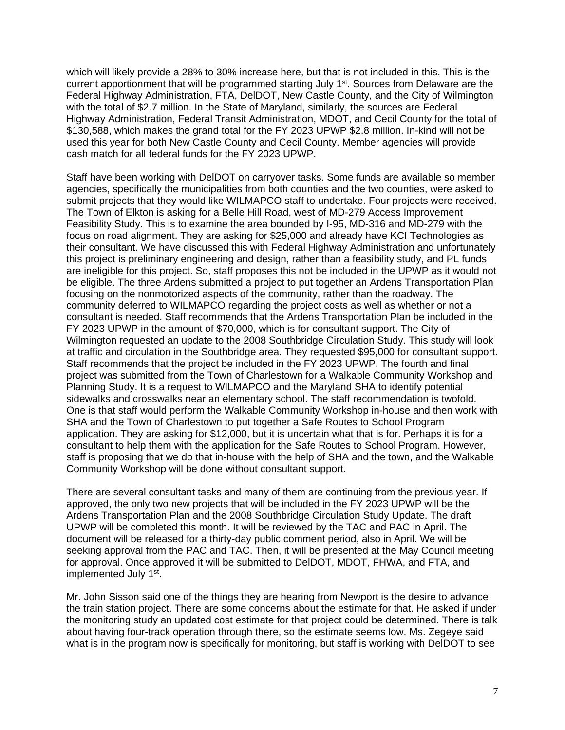which will likely provide a 28% to 30% increase here, but that is not included in this. This is the current apportionment that will be programmed starting July 1<sup>st</sup>. Sources from Delaware are the Federal Highway Administration, FTA, DelDOT, New Castle County, and the City of Wilmington with the total of \$2.7 million. In the State of Maryland, similarly, the sources are Federal Highway Administration, Federal Transit Administration, MDOT, and Cecil County for the total of \$130,588, which makes the grand total for the FY 2023 UPWP \$2.8 million. In-kind will not be used this year for both New Castle County and Cecil County. Member agencies will provide cash match for all federal funds for the FY 2023 UPWP.

Staff have been working with DelDOT on carryover tasks. Some funds are available so member agencies, specifically the municipalities from both counties and the two counties, were asked to submit projects that they would like WILMAPCO staff to undertake. Four projects were received. The Town of Elkton is asking for a Belle Hill Road, west of MD-279 Access Improvement Feasibility Study. This is to examine the area bounded by I-95, MD-316 and MD-279 with the focus on road alignment. They are asking for \$25,000 and already have KCI Technologies as their consultant. We have discussed this with Federal Highway Administration and unfortunately this project is preliminary engineering and design, rather than a feasibility study, and PL funds are ineligible for this project. So, staff proposes this not be included in the UPWP as it would not be eligible. The three Ardens submitted a project to put together an Ardens Transportation Plan focusing on the nonmotorized aspects of the community, rather than the roadway. The community deferred to WILMAPCO regarding the project costs as well as whether or not a consultant is needed. Staff recommends that the Ardens Transportation Plan be included in the FY 2023 UPWP in the amount of \$70,000, which is for consultant support. The City of Wilmington requested an update to the 2008 Southbridge Circulation Study. This study will look at traffic and circulation in the Southbridge area. They requested \$95,000 for consultant support. Staff recommends that the project be included in the FY 2023 UPWP. The fourth and final project was submitted from the Town of Charlestown for a Walkable Community Workshop and Planning Study. It is a request to WILMAPCO and the Maryland SHA to identify potential sidewalks and crosswalks near an elementary school. The staff recommendation is twofold. One is that staff would perform the Walkable Community Workshop in-house and then work with SHA and the Town of Charlestown to put together a Safe Routes to School Program application. They are asking for \$12,000, but it is uncertain what that is for. Perhaps it is for a consultant to help them with the application for the Safe Routes to School Program. However, staff is proposing that we do that in-house with the help of SHA and the town, and the Walkable Community Workshop will be done without consultant support.

There are several consultant tasks and many of them are continuing from the previous year. If approved, the only two new projects that will be included in the FY 2023 UPWP will be the Ardens Transportation Plan and the 2008 Southbridge Circulation Study Update. The draft UPWP will be completed this month. It will be reviewed by the TAC and PAC in April. The document will be released for a thirty-day public comment period, also in April. We will be seeking approval from the PAC and TAC. Then, it will be presented at the May Council meeting for approval. Once approved it will be submitted to DelDOT, MDOT, FHWA, and FTA, and implemented July 1st.

Mr. John Sisson said one of the things they are hearing from Newport is the desire to advance the train station project. There are some concerns about the estimate for that. He asked if under the monitoring study an updated cost estimate for that project could be determined. There is talk about having four-track operation through there, so the estimate seems low. Ms. Zegeye said what is in the program now is specifically for monitoring, but staff is working with DelDOT to see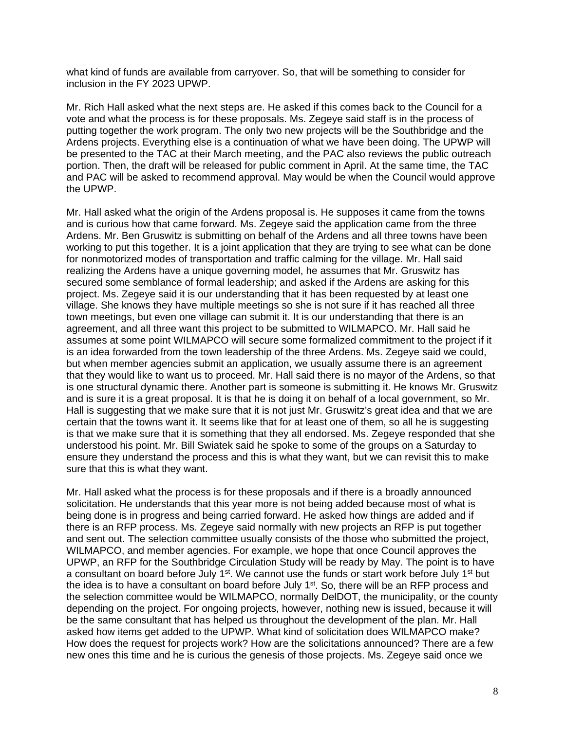what kind of funds are available from carryover. So, that will be something to consider for inclusion in the FY 2023 UPWP.

Mr. Rich Hall asked what the next steps are. He asked if this comes back to the Council for a vote and what the process is for these proposals. Ms. Zegeye said staff is in the process of putting together the work program. The only two new projects will be the Southbridge and the Ardens projects. Everything else is a continuation of what we have been doing. The UPWP will be presented to the TAC at their March meeting, and the PAC also reviews the public outreach portion. Then, the draft will be released for public comment in April. At the same time, the TAC and PAC will be asked to recommend approval. May would be when the Council would approve the UPWP.

Mr. Hall asked what the origin of the Ardens proposal is. He supposes it came from the towns and is curious how that came forward. Ms. Zegeye said the application came from the three Ardens. Mr. Ben Gruswitz is submitting on behalf of the Ardens and all three towns have been working to put this together. It is a joint application that they are trying to see what can be done for nonmotorized modes of transportation and traffic calming for the village. Mr. Hall said realizing the Ardens have a unique governing model, he assumes that Mr. Gruswitz has secured some semblance of formal leadership; and asked if the Ardens are asking for this project. Ms. Zegeye said it is our understanding that it has been requested by at least one village. She knows they have multiple meetings so she is not sure if it has reached all three town meetings, but even one village can submit it. It is our understanding that there is an agreement, and all three want this project to be submitted to WILMAPCO. Mr. Hall said he assumes at some point WILMAPCO will secure some formalized commitment to the project if it is an idea forwarded from the town leadership of the three Ardens. Ms. Zegeye said we could, but when member agencies submit an application, we usually assume there is an agreement that they would like to want us to proceed. Mr. Hall said there is no mayor of the Ardens, so that is one structural dynamic there. Another part is someone is submitting it. He knows Mr. Gruswitz and is sure it is a great proposal. It is that he is doing it on behalf of a local government, so Mr. Hall is suggesting that we make sure that it is not just Mr. Gruswitz's great idea and that we are certain that the towns want it. It seems like that for at least one of them, so all he is suggesting is that we make sure that it is something that they all endorsed. Ms. Zegeye responded that she understood his point. Mr. Bill Swiatek said he spoke to some of the groups on a Saturday to ensure they understand the process and this is what they want, but we can revisit this to make sure that this is what they want.

Mr. Hall asked what the process is for these proposals and if there is a broadly announced solicitation. He understands that this year more is not being added because most of what is being done is in progress and being carried forward. He asked how things are added and if there is an RFP process. Ms. Zegeye said normally with new projects an RFP is put together and sent out. The selection committee usually consists of the those who submitted the project, WILMAPCO, and member agencies. For example, we hope that once Council approves the UPWP, an RFP for the Southbridge Circulation Study will be ready by May. The point is to have a consultant on board before July 1<sup>st</sup>. We cannot use the funds or start work before July 1<sup>st</sup> but the idea is to have a consultant on board before July 1<sup>st</sup>. So, there will be an RFP process and the selection committee would be WILMAPCO, normally DelDOT, the municipality, or the county depending on the project. For ongoing projects, however, nothing new is issued, because it will be the same consultant that has helped us throughout the development of the plan. Mr. Hall asked how items get added to the UPWP. What kind of solicitation does WILMAPCO make? How does the request for projects work? How are the solicitations announced? There are a few new ones this time and he is curious the genesis of those projects. Ms. Zegeye said once we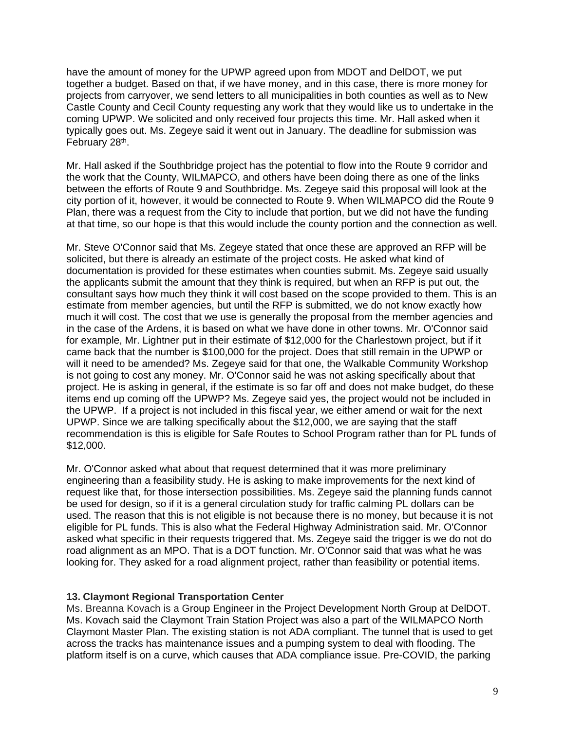have the amount of money for the UPWP agreed upon from MDOT and DelDOT, we put together a budget. Based on that, if we have money, and in this case, there is more money for projects from carryover, we send letters to all municipalities in both counties as well as to New Castle County and Cecil County requesting any work that they would like us to undertake in the coming UPWP. We solicited and only received four projects this time. Mr. Hall asked when it typically goes out. Ms. Zegeye said it went out in January. The deadline for submission was February 28<sup>th</sup>.

Mr. Hall asked if the Southbridge project has the potential to flow into the Route 9 corridor and the work that the County, WILMAPCO, and others have been doing there as one of the links between the efforts of Route 9 and Southbridge. Ms. Zegeye said this proposal will look at the city portion of it, however, it would be connected to Route 9. When WILMAPCO did the Route 9 Plan, there was a request from the City to include that portion, but we did not have the funding at that time, so our hope is that this would include the county portion and the connection as well.

Mr. Steve O'Connor said that Ms. Zegeye stated that once these are approved an RFP will be solicited, but there is already an estimate of the project costs. He asked what kind of documentation is provided for these estimates when counties submit. Ms. Zegeye said usually the applicants submit the amount that they think is required, but when an RFP is put out, the consultant says how much they think it will cost based on the scope provided to them. This is an estimate from member agencies, but until the RFP is submitted, we do not know exactly how much it will cost. The cost that we use is generally the proposal from the member agencies and in the case of the Ardens, it is based on what we have done in other towns. Mr. O'Connor said for example, Mr. Lightner put in their estimate of \$12,000 for the Charlestown project, but if it came back that the number is \$100,000 for the project. Does that still remain in the UPWP or will it need to be amended? Ms. Zegeye said for that one, the Walkable Community Workshop is not going to cost any money. Mr. O'Connor said he was not asking specifically about that project. He is asking in general, if the estimate is so far off and does not make budget, do these items end up coming off the UPWP? Ms. Zegeye said yes, the project would not be included in the UPWP. If a project is not included in this fiscal year, we either amend or wait for the next UPWP. Since we are talking specifically about the \$12,000, we are saying that the staff recommendation is this is eligible for Safe Routes to School Program rather than for PL funds of \$12,000.

Mr. O'Connor asked what about that request determined that it was more preliminary engineering than a feasibility study. He is asking to make improvements for the next kind of request like that, for those intersection possibilities. Ms. Zegeye said the planning funds cannot be used for design, so if it is a general circulation study for traffic calming PL dollars can be used. The reason that this is not eligible is not because there is no money, but because it is not eligible for PL funds. This is also what the Federal Highway Administration said. Mr. O'Connor asked what specific in their requests triggered that. Ms. Zegeye said the trigger is we do not do road alignment as an MPO. That is a DOT function. Mr. O'Connor said that was what he was looking for. They asked for a road alignment project, rather than feasibility or potential items.

#### **13. Claymont Regional Transportation Center**

Ms. Breanna Kovach is a Group Engineer in the Project Development North Group at DelDOT. Ms. Kovach said the Claymont Train Station Project was also a part of the WILMAPCO North Claymont Master Plan. The existing station is not ADA compliant. The tunnel that is used to get across the tracks has maintenance issues and a pumping system to deal with flooding. The platform itself is on a curve, which causes that ADA compliance issue. Pre-COVID, the parking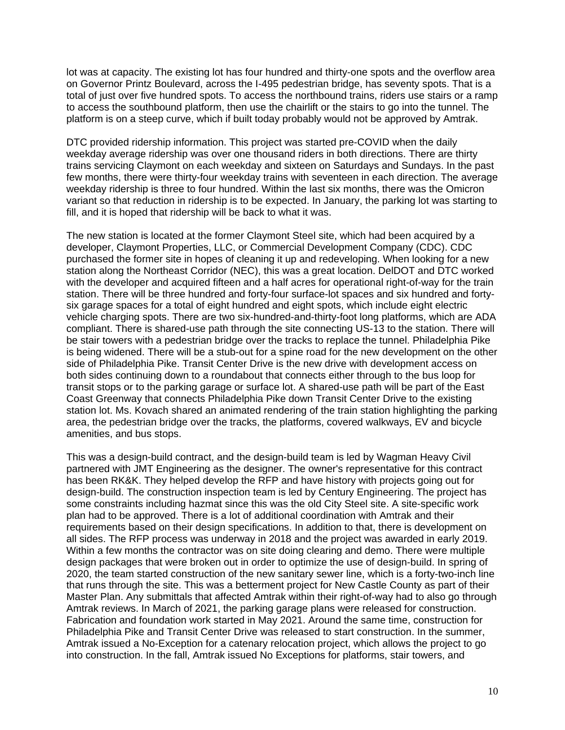lot was at capacity. The existing lot has four hundred and thirty-one spots and the overflow area on Governor Printz Boulevard, across the I-495 pedestrian bridge, has seventy spots. That is a total of just over five hundred spots. To access the northbound trains, riders use stairs or a ramp to access the southbound platform, then use the chairlift or the stairs to go into the tunnel. The platform is on a steep curve, which if built today probably would not be approved by Amtrak.

DTC provided ridership information. This project was started pre-COVID when the daily weekday average ridership was over one thousand riders in both directions. There are thirty trains servicing Claymont on each weekday and sixteen on Saturdays and Sundays. In the past few months, there were thirty-four weekday trains with seventeen in each direction. The average weekday ridership is three to four hundred. Within the last six months, there was the Omicron variant so that reduction in ridership is to be expected. In January, the parking lot was starting to fill, and it is hoped that ridership will be back to what it was.

The new station is located at the former Claymont Steel site, which had been acquired by a developer, Claymont Properties, LLC, or Commercial Development Company (CDC). CDC purchased the former site in hopes of cleaning it up and redeveloping. When looking for a new station along the Northeast Corridor (NEC), this was a great location. DelDOT and DTC worked with the developer and acquired fifteen and a half acres for operational right-of-way for the train station. There will be three hundred and forty-four surface-lot spaces and six hundred and fortysix garage spaces for a total of eight hundred and eight spots, which include eight electric vehicle charging spots. There are two six-hundred-and-thirty-foot long platforms, which are ADA compliant. There is shared-use path through the site connecting US-13 to the station. There will be stair towers with a pedestrian bridge over the tracks to replace the tunnel. Philadelphia Pike is being widened. There will be a stub-out for a spine road for the new development on the other side of Philadelphia Pike. Transit Center Drive is the new drive with development access on both sides continuing down to a roundabout that connects either through to the bus loop for transit stops or to the parking garage or surface lot. A shared-use path will be part of the East Coast Greenway that connects Philadelphia Pike down Transit Center Drive to the existing station lot. Ms. Kovach shared an animated rendering of the train station highlighting the parking area, the pedestrian bridge over the tracks, the platforms, covered walkways, EV and bicycle amenities, and bus stops.

This was a design-build contract, and the design-build team is led by Wagman Heavy Civil partnered with JMT Engineering as the designer. The owner's representative for this contract has been RK&K. They helped develop the RFP and have history with projects going out for design-build. The construction inspection team is led by Century Engineering. The project has some constraints including hazmat since this was the old City Steel site. A site-specific work plan had to be approved. There is a lot of additional coordination with Amtrak and their requirements based on their design specifications. In addition to that, there is development on all sides. The RFP process was underway in 2018 and the project was awarded in early 2019. Within a few months the contractor was on site doing clearing and demo. There were multiple design packages that were broken out in order to optimize the use of design-build. In spring of 2020, the team started construction of the new sanitary sewer line, which is a forty-two-inch line that runs through the site. This was a betterment project for New Castle County as part of their Master Plan. Any submittals that affected Amtrak within their right-of-way had to also go through Amtrak reviews. In March of 2021, the parking garage plans were released for construction. Fabrication and foundation work started in May 2021. Around the same time, construction for Philadelphia Pike and Transit Center Drive was released to start construction. In the summer, Amtrak issued a No-Exception for a catenary relocation project, which allows the project to go into construction. In the fall, Amtrak issued No Exceptions for platforms, stair towers, and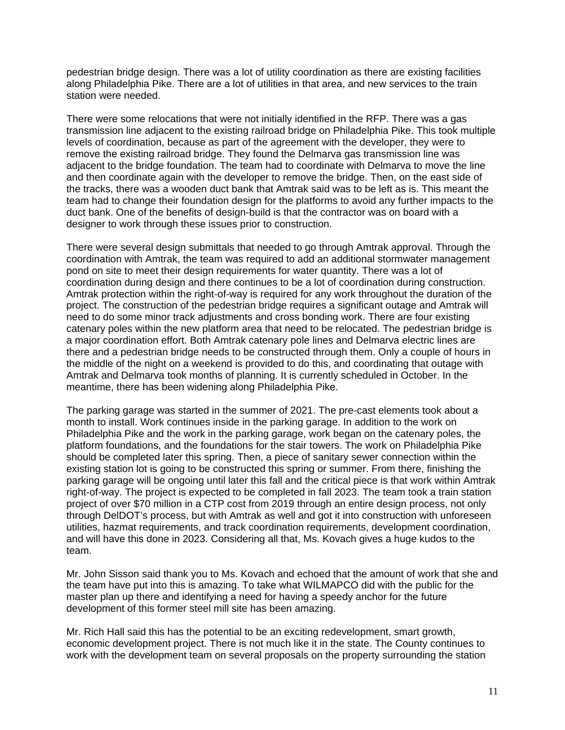pedestrian bridge design. There was a lot of utility coordination as there are existing facilities along Philadelphia Pike. There are a lot of utilities in that area, and new services to the train station were needed.

There were some relocations that were not initially identified in the RFP. There was a gas transmission line adjacent to the existing railroad bridge on Philadelphia Pike. This took multiple levels of coordination, because as part of the agreement with the developer, they were to remove the existing railroad bridge. They found the Delmarva gas transmission line was adjacent to the bridge foundation. The team had to coordinate with Delmarva to move the line and then coordinate again with the developer to remove the bridge. Then, on the east side of the tracks, there was a wooden duct bank that Amtrak said was to be left as is. This meant the team had to change their foundation design for the platforms to avoid any further impacts to the duct bank. One of the benefits of design-build is that the contractor was on board with a designer to work through these issues prior to construction.

There were several design submittals that needed to go through Amtrak approval. Through the coordination with Amtrak, the team was required to add an additional stormwater management pond on site to meet their design requirements for water quantity. There was a lot of coordination during design and there continues to be a lot of coordination during construction. Amtrak protection within the right-of-way is required for any work throughout the duration of the project. The construction of the pedestrian bridge requires a significant outage and Amtrak will need to do some minor track adjustments and cross bonding work. There are four existing catenary poles within the new platform area that need to be relocated. The pedestrian bridge is a major coordination effort. Both Amtrak catenary pole lines and Delmarva electric lines are there and a pedestrian bridge needs to be constructed through them. Only a couple of hours in the middle of the night on a weekend is provided to do this, and coordinating that outage with Amtrak and Delmarva took months of planning. It is currently scheduled in October. In the meantime, there has been widening along Philadelphia Pike.

The parking garage was started in the summer of 2021. The pre-cast elements took about a month to install. Work continues inside in the parking garage. In addition to the work on Philadelphia Pike and the work in the parking garage, work began on the catenary poles, the platform foundations, and the foundations for the stair towers. The work on Philadelphia Pike should be completed later this spring. Then, a piece of sanitary sewer connection within the existing station lot is going to be constructed this spring or summer. From there, finishing the parking garage will be ongoing until later this fall and the critical piece is that work within Amtrak right-of-way. The project is expected to be completed in fall 2023. The team took a train station project of over \$70 million in a CTP cost from 2019 through an entire design process, not only through DelDOT's process, but with Amtrak as well and got it into construction with unforeseen utilities, hazmat requirements, and track coordination requirements, development coordination, and will have this done in 2023. Considering all that, Ms. Kovach gives a huge kudos to the team.

Mr. John Sisson said thank you to Ms. Kovach and echoed that the amount of work that she and the team have put into this is amazing. To take what WILMAPCO did with the public for the master plan up there and identifying a need for having a speedy anchor for the future development of this former steel mill site has been amazing.

Mr. Rich Hall said this has the potential to be an exciting redevelopment, smart growth, economic development project. There is not much like it in the state. The County continues to work with the development team on several proposals on the property surrounding the station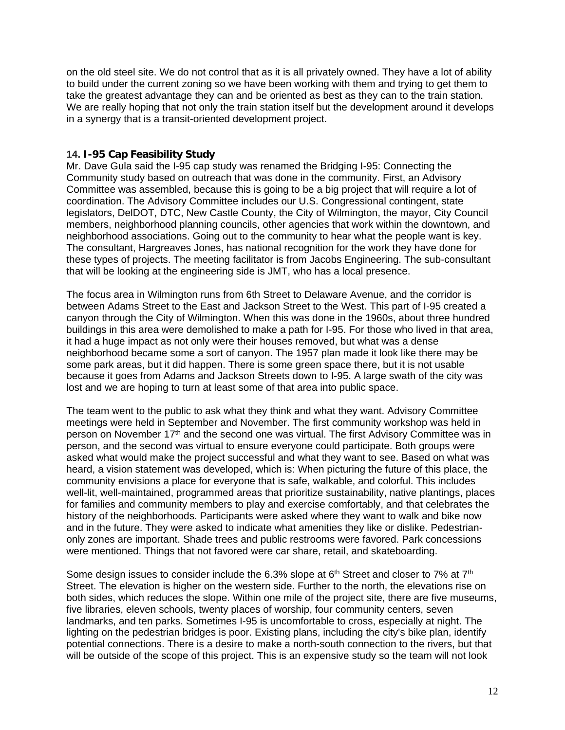on the old steel site. We do not control that as it is all privately owned. They have a lot of ability to build under the current zoning so we have been working with them and trying to get them to take the greatest advantage they can and be oriented as best as they can to the train station. We are really hoping that not only the train station itself but the development around it develops in a synergy that is a transit-oriented development project.

# **14. I-95 Cap Feasibility Study**

Mr. Dave Gula said the I-95 cap study was renamed the Bridging I-95: Connecting the Community study based on outreach that was done in the community. First, an Advisory Committee was assembled, because this is going to be a big project that will require a lot of coordination. The Advisory Committee includes our U.S. Congressional contingent, state legislators, DelDOT, DTC, New Castle County, the City of Wilmington, the mayor, City Council members, neighborhood planning councils, other agencies that work within the downtown, and neighborhood associations. Going out to the community to hear what the people want is key. The consultant, Hargreaves Jones, has national recognition for the work they have done for these types of projects. The meeting facilitator is from Jacobs Engineering. The sub-consultant that will be looking at the engineering side is JMT, who has a local presence.

The focus area in Wilmington runs from 6th Street to Delaware Avenue, and the corridor is between Adams Street to the East and Jackson Street to the West. This part of I-95 created a canyon through the City of Wilmington. When this was done in the 1960s, about three hundred buildings in this area were demolished to make a path for I-95. For those who lived in that area, it had a huge impact as not only were their houses removed, but what was a dense neighborhood became some a sort of canyon. The 1957 plan made it look like there may be some park areas, but it did happen. There is some green space there, but it is not usable because it goes from Adams and Jackson Streets down to I-95. A large swath of the city was lost and we are hoping to turn at least some of that area into public space.

The team went to the public to ask what they think and what they want. Advisory Committee meetings were held in September and November. The first community workshop was held in person on November 17<sup>th</sup> and the second one was virtual. The first Advisory Committee was in person, and the second was virtual to ensure everyone could participate. Both groups were asked what would make the project successful and what they want to see. Based on what was heard, a vision statement was developed, which is: When picturing the future of this place, the community envisions a place for everyone that is safe, walkable, and colorful. This includes well-lit, well-maintained, programmed areas that prioritize sustainability, native plantings, places for families and community members to play and exercise comfortably, and that celebrates the history of the neighborhoods. Participants were asked where they want to walk and bike now and in the future. They were asked to indicate what amenities they like or dislike. Pedestrianonly zones are important. Shade trees and public restrooms were favored. Park concessions were mentioned. Things that not favored were car share, retail, and skateboarding.

Some design issues to consider include the 6.3% slope at  $6<sup>th</sup>$  Street and closer to 7% at  $7<sup>th</sup>$ Street. The elevation is higher on the western side. Further to the north, the elevations rise on both sides, which reduces the slope. Within one mile of the project site, there are five museums, five libraries, eleven schools, twenty places of worship, four community centers, seven landmarks, and ten parks. Sometimes I-95 is uncomfortable to cross, especially at night. The lighting on the pedestrian bridges is poor. Existing plans, including the city's bike plan, identify potential connections. There is a desire to make a north-south connection to the rivers, but that will be outside of the scope of this project. This is an expensive study so the team will not look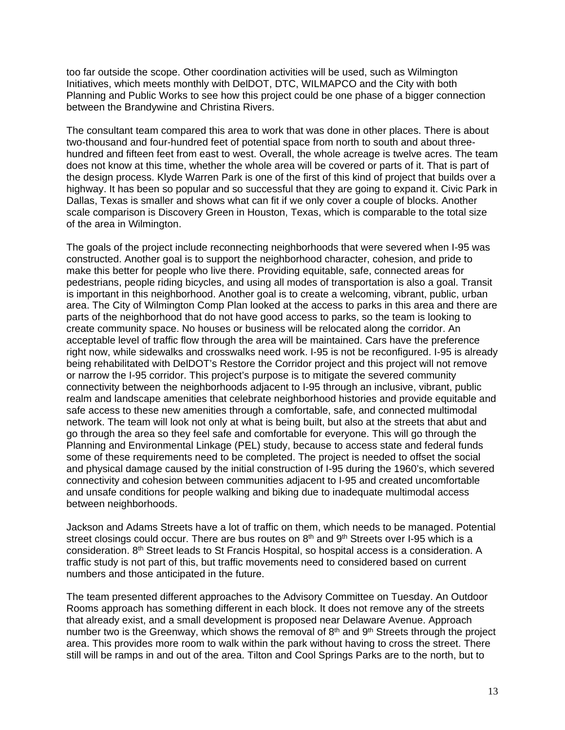too far outside the scope. Other coordination activities will be used, such as Wilmington Initiatives, which meets monthly with DelDOT, DTC, WILMAPCO and the City with both Planning and Public Works to see how this project could be one phase of a bigger connection between the Brandywine and Christina Rivers.

The consultant team compared this area to work that was done in other places. There is about two-thousand and four-hundred feet of potential space from north to south and about threehundred and fifteen feet from east to west. Overall, the whole acreage is twelve acres. The team does not know at this time, whether the whole area will be covered or parts of it. That is part of the design process. Klyde Warren Park is one of the first of this kind of project that builds over a highway. It has been so popular and so successful that they are going to expand it. Civic Park in Dallas, Texas is smaller and shows what can fit if we only cover a couple of blocks. Another scale comparison is Discovery Green in Houston, Texas, which is comparable to the total size of the area in Wilmington.

The goals of the project include reconnecting neighborhoods that were severed when I-95 was constructed. Another goal is to support the neighborhood character, cohesion, and pride to make this better for people who live there. Providing equitable, safe, connected areas for pedestrians, people riding bicycles, and using all modes of transportation is also a goal. Transit is important in this neighborhood. Another goal is to create a welcoming, vibrant, public, urban area. The City of Wilmington Comp Plan looked at the access to parks in this area and there are parts of the neighborhood that do not have good access to parks, so the team is looking to create community space. No houses or business will be relocated along the corridor. An acceptable level of traffic flow through the area will be maintained. Cars have the preference right now, while sidewalks and crosswalks need work. I-95 is not be reconfigured. I-95 is already being rehabilitated with DelDOT's Restore the Corridor project and this project will not remove or narrow the I-95 corridor. This project's purpose is to mitigate the severed community connectivity between the neighborhoods adjacent to I-95 through an inclusive, vibrant, public realm and landscape amenities that celebrate neighborhood histories and provide equitable and safe access to these new amenities through a comfortable, safe, and connected multimodal network. The team will look not only at what is being built, but also at the streets that abut and go through the area so they feel safe and comfortable for everyone. This will go through the Planning and Environmental Linkage (PEL) study, because to access state and federal funds some of these requirements need to be completed. The project is needed to offset the social and physical damage caused by the initial construction of I-95 during the 1960's, which severed connectivity and cohesion between communities adjacent to I-95 and created uncomfortable and unsafe conditions for people walking and biking due to inadequate multimodal access between neighborhoods.

Jackson and Adams Streets have a lot of traffic on them, which needs to be managed. Potential street closings could occur. There are bus routes on  $8<sup>th</sup>$  and  $9<sup>th</sup>$  Streets over I-95 which is a consideration.  $8<sup>th</sup>$  Street leads to St Francis Hospital, so hospital access is a consideration. A traffic study is not part of this, but traffic movements need to considered based on current numbers and those anticipated in the future.

The team presented different approaches to the Advisory Committee on Tuesday. An Outdoor Rooms approach has something different in each block. It does not remove any of the streets that already exist, and a small development is proposed near Delaware Avenue. Approach number two is the Greenway, which shows the removal of  $8<sup>th</sup>$  and  $9<sup>th</sup>$  Streets through the project area. This provides more room to walk within the park without having to cross the street. There still will be ramps in and out of the area. Tilton and Cool Springs Parks are to the north, but to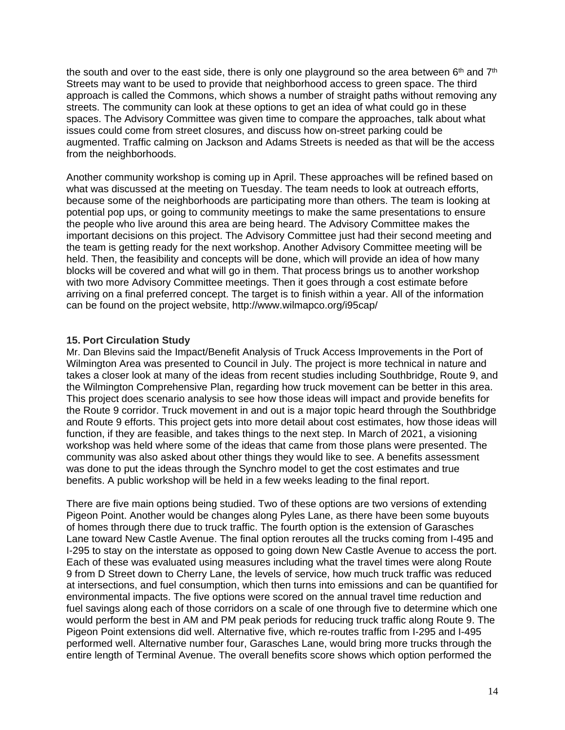the south and over to the east side, there is only one playground so the area between  $6<sup>th</sup>$  and  $7<sup>th</sup>$ Streets may want to be used to provide that neighborhood access to green space. The third approach is called the Commons, which shows a number of straight paths without removing any streets. The community can look at these options to get an idea of what could go in these spaces. The Advisory Committee was given time to compare the approaches, talk about what issues could come from street closures, and discuss how on-street parking could be augmented. Traffic calming on Jackson and Adams Streets is needed as that will be the access from the neighborhoods.

Another community workshop is coming up in April. These approaches will be refined based on what was discussed at the meeting on Tuesday. The team needs to look at outreach efforts, because some of the neighborhoods are participating more than others. The team is looking at potential pop ups, or going to community meetings to make the same presentations to ensure the people who live around this area are being heard. The Advisory Committee makes the important decisions on this project. The Advisory Committee just had their second meeting and the team is getting ready for the next workshop. Another Advisory Committee meeting will be held. Then, the feasibility and concepts will be done, which will provide an idea of how many blocks will be covered and what will go in them. That process brings us to another workshop with two more Advisory Committee meetings. Then it goes through a cost estimate before arriving on a final preferred concept. The target is to finish within a year. All of the information can be found on the project website, http://www.wilmapco.org/i95cap/

#### **15. Port Circulation Study**

Mr. Dan Blevins said the Impact/Benefit Analysis of Truck Access Improvements in the Port of Wilmington Area was presented to Council in July. The project is more technical in nature and takes a closer look at many of the ideas from recent studies including Southbridge, Route 9, and the Wilmington Comprehensive Plan, regarding how truck movement can be better in this area. This project does scenario analysis to see how those ideas will impact and provide benefits for the Route 9 corridor. Truck movement in and out is a major topic heard through the Southbridge and Route 9 efforts. This project gets into more detail about cost estimates, how those ideas will function, if they are feasible, and takes things to the next step. In March of 2021, a visioning workshop was held where some of the ideas that came from those plans were presented. The community was also asked about other things they would like to see. A benefits assessment was done to put the ideas through the Synchro model to get the cost estimates and true benefits. A public workshop will be held in a few weeks leading to the final report.

There are five main options being studied. Two of these options are two versions of extending Pigeon Point. Another would be changes along Pyles Lane, as there have been some buyouts of homes through there due to truck traffic. The fourth option is the extension of Garasches Lane toward New Castle Avenue. The final option reroutes all the trucks coming from I-495 and I-295 to stay on the interstate as opposed to going down New Castle Avenue to access the port. Each of these was evaluated using measures including what the travel times were along Route 9 from D Street down to Cherry Lane, the levels of service, how much truck traffic was reduced at intersections, and fuel consumption, which then turns into emissions and can be quantified for environmental impacts. The five options were scored on the annual travel time reduction and fuel savings along each of those corridors on a scale of one through five to determine which one would perform the best in AM and PM peak periods for reducing truck traffic along Route 9. The Pigeon Point extensions did well. Alternative five, which re-routes traffic from I-295 and I-495 performed well. Alternative number four, Garasches Lane, would bring more trucks through the entire length of Terminal Avenue. The overall benefits score shows which option performed the